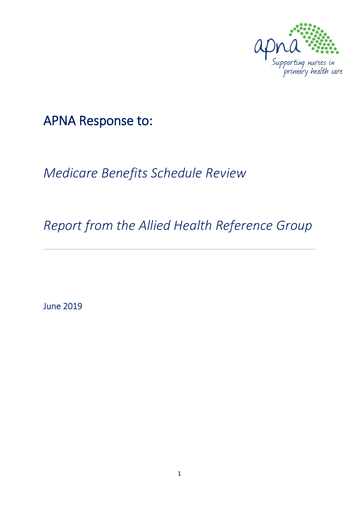

APNA Response to:

*Medicare Benefits Schedule Review*

*Report from the Allied Health Reference Group*

June 2019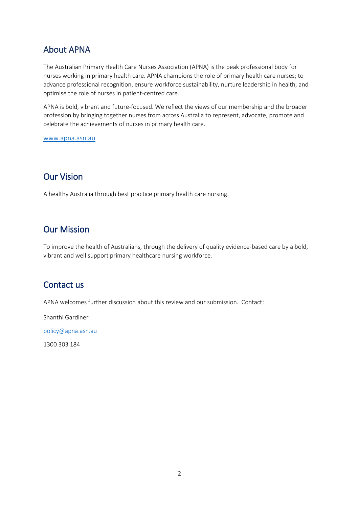### About APNA

The Australian Primary Health Care Nurses Association (APNA) is the peak professional body for nurses working in primary health care. APNA champions the role of primary health care nurses; to advance professional recognition, ensure workforce sustainability, nurture leadership in health, and optimise the role of nurses in patient-centred care.

APNA is bold, vibrant and future-focused. We reflect the views of our membership and the broader profession by bringing together nurses from across Australia to represent, advocate, promote and celebrate the achievements of nurses in primary health care.

[www.apna.asn.au](http://www.apna.asn.au/)

### Our Vision

A healthy Australia through best practice primary health care nursing.

### Our Mission

To improve the health of Australians, through the delivery of quality evidence-based care by a bold, vibrant and well support primary healthcare nursing workforce.

### Contact us

APNA welcomes further discussion about this review and our submission. Contact:

Shanthi Gardiner

[policy@apna.asn.au](mailto:policy@apna.asn.au)

1300 303 184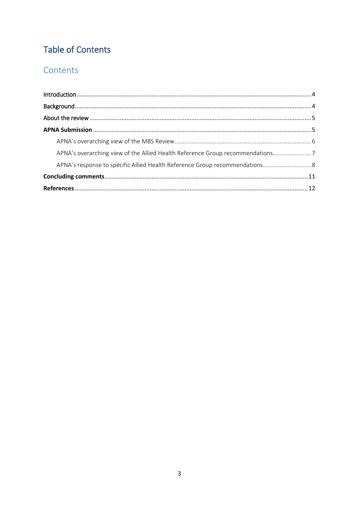# **Table of Contents**

## Contents

| APNA's overarching view of the Allied Health Reference Group recommendations |  |
|------------------------------------------------------------------------------|--|
| APNA's response to specific Allied Health Reference Group recommendations 8  |  |
|                                                                              |  |
|                                                                              |  |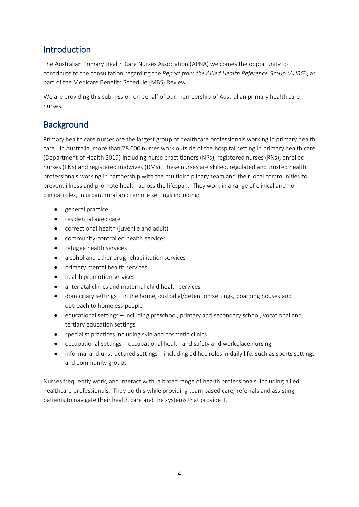## <span id="page-3-0"></span>Introduction

The Australian Primary Health Care Nurses Association (APNA) welcomes the opportunity to contribute to the consultation regarding the *Report from the Allied Health Reference Group (AHRG*), as part of the Medicare Benefits Schedule (MBS) Review.

We are providing this submission on behalf of our membership of Australian primary health care nurses.

## <span id="page-3-1"></span>**Background**

Primary health care nurses are the largest group of healthcare professionals working in primary health care. In Australia, more than 78 000 nurses work outside of the hospital setting in primary health care (Department of Health 2019) including nurse practitioners (NPs), registered nurses (RNs), enrolled nurses (ENs) and registered midwives (RMs). These nurses are skilled, regulated and trusted health professionals working in partnership with the multidisciplinary team and their local communities to prevent illness and promote health across the lifespan. They work in a range of clinical and nonclinical roles, in urban, rural and remote settings including:

- general practice
- residential aged care
- correctional health (juvenile and adult)
- community-controlled health services
- refugee health services
- alcohol and other drug rehabilitation services
- primary mental health services
- health promotion services
- antenatal clinics and maternal child health services
- domiciliary settings in the home, custodial/detention settings, boarding houses and outreach to homeless people
- educational settings including preschool, primary and secondary school, vocational and tertiary education settings
- specialist practices including skin and cosmetic clinics
- occupational settings occupational health and safety and workplace nursing
- informal and unstructured settings including ad hoc roles in daily life, such as sports settings and community groups

Nurses frequently work, and interact with, a broad range of health professionals, including allied healthcare professionals. They do this while providing team based care, referrals and assisting patients to navigate their health care and the systems that provide it.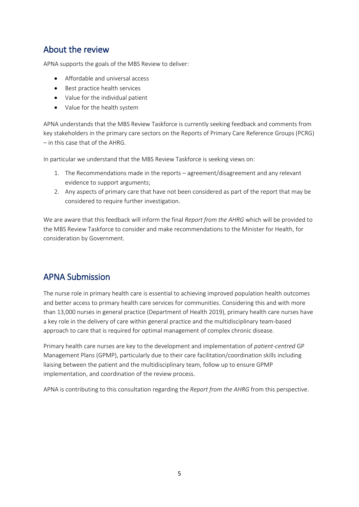### <span id="page-4-0"></span>About the review

APNA supports the goals of the MBS Review to deliver:

- Affordable and universal access
- Best practice health services
- Value for the individual patient
- Value for the health system

APNA understands that the MBS Review Taskforce is currently seeking feedback and comments from key stakeholders in the primary care sectors on the Reports of Primary Care Reference Groups (PCRG) – in this case that of the AHRG.

In particular we understand that the MBS Review Taskforce is seeking views on:

- 1. The Recommendations made in the reports agreement/disagreement and any relevant evidence to support arguments;
- 2. Any aspects of primary care that have not been considered as part of the report that may be considered to require further investigation.

We are aware that this feedback will inform the final *Report from the AHRG* which will be provided to the MBS Review Taskforce to consider and make recommendations to the Minister for Health, for consideration by Government.

## <span id="page-4-1"></span>APNA Submission

The nurse role in primary health care is essential to achieving improved population health outcomes and better access to primary health care services for communities. Considering this and with more than 13,000 nurses in general practice (Department of Health 2019), primary health care nurses have a key role in the delivery of care within general practice and the multidisciplinary team-based approach to care that is required for optimal management of complex chronic disease.

Primary health care nurses are key to the development and implementation of *patient-centred* GP Management Plans (GPMP), particularly due to their care facilitation/coordination skills including liaising between the patient and the multidisciplinary team, follow up to ensure GPMP implementation, and coordination of the review process.

APNA is contributing to this consultation regarding the *Report from the AHRG* from this perspective.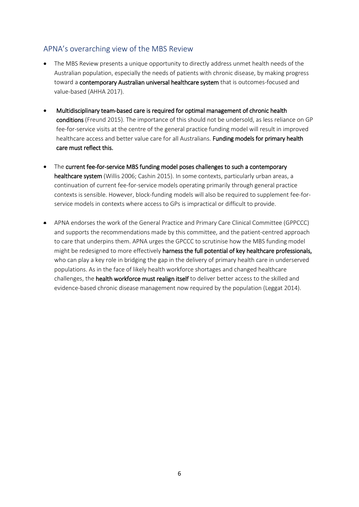### <span id="page-5-0"></span>APNA's overarching view of the MBS Review

- The MBS Review presents a unique opportunity to directly address unmet health needs of the Australian population, especially the needs of patients with chronic disease, by making progress toward a contemporary Australian universal healthcare system that is outcomes-focused and value-based (AHHA 2017).
- Multidisciplinary team-based care is required for optimal management of chronic health conditions (Freund 2015). The importance of this should not be undersold, as less reliance on GP fee-for-service visits at the centre of the general practice funding model will result in improved healthcare access and better value care for all Australians. Funding models for primary health care must reflect this.
- The current fee-for-service MBS funding model poses challenges to such a contemporary healthcare system (Willis 2006; Cashin 2015). In some contexts, particularly urban areas, a continuation of current fee-for-service models operating primarily through general practice contexts is sensible. However, block-funding models will also be required to supplement fee-forservice models in contexts where access to GPs is impractical or difficult to provide.
- APNA endorses the work of the General Practice and Primary Care Clinical Committee (GPPCCC) and supports the recommendations made by this committee, and the patient-centred approach to care that underpins them. APNA urges the GPCCC to scrutinise how the MBS funding model might be redesigned to more effectively harness the full potential of key healthcare professionals, who can play a key role in bridging the gap in the delivery of primary health care in underserved populations. As in the face of likely health workforce shortages and changed healthcare challenges, the health workforce must realign itself to deliver better access to the skilled and evidence-based chronic disease management now required by the population (Leggat 2014).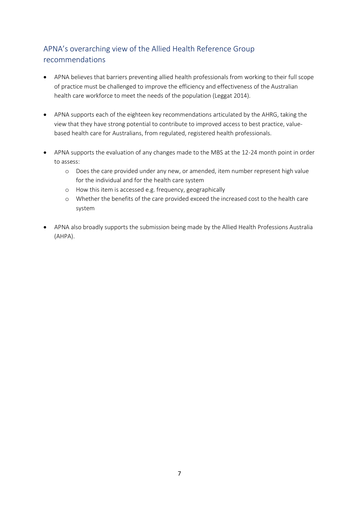## <span id="page-6-0"></span>APNA's overarching view of the Allied Health Reference Group recommendations

- APNA believes that barriers preventing allied health professionals from working to their full scope of practice must be challenged to improve the efficiency and effectiveness of the Australian health care workforce to meet the needs of the population (Leggat 2014).
- APNA supports each of the eighteen key recommendations articulated by the AHRG, taking the view that they have strong potential to contribute to improved access to best practice, valuebased health care for Australians, from regulated, registered health professionals.
- APNA supports the evaluation of any changes made to the MBS at the 12-24 month point in order to assess:
	- o Does the care provided under any new, or amended, item number represent high value for the individual and for the health care system
	- o How this item is accessed e.g. frequency, geographically
	- o Whether the benefits of the care provided exceed the increased cost to the health care system
- APNA also broadly supports the submission being made by the Allied Health Professions Australia (AHPA).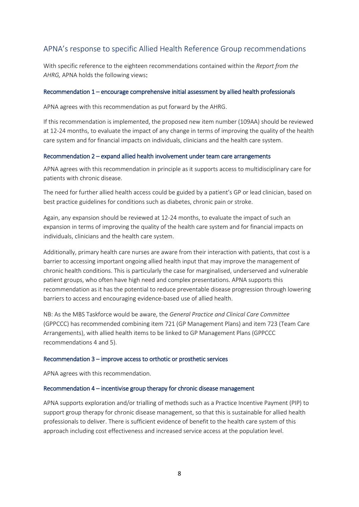### <span id="page-7-0"></span>APNA's response to specific Allied Health Reference Group recommendations

With specific reference to the eighteen recommendations contained within the *Report from the AHRG,* APNA holds the following views:

#### Recommendation 1 – encourage comprehensive initial assessment by allied health professionals

APNA agrees with this recommendation as put forward by the AHRG.

If this recommendation is implemented, the proposed new item number (109AA) should be reviewed at 12-24 months, to evaluate the impact of any change in terms of improving the quality of the health care system and for financial impacts on individuals, clinicians and the health care system.

#### Recommendation 2 – expand allied health involvement under team care arrangements

APNA agrees with this recommendation in principle as it supports access to multidisciplinary care for patients with chronic disease.

The need for further allied health access could be guided by a patient's GP or lead clinician, based on best practice guidelines for conditions such as diabetes, chronic pain or stroke.

Again, any expansion should be reviewed at 12-24 months, to evaluate the impact of such an expansion in terms of improving the quality of the health care system and for financial impacts on individuals, clinicians and the health care system.

Additionally, primary health care nurses are aware from their interaction with patients, that cost is a barrier to accessing important ongoing allied health input that may improve the management of chronic health conditions. This is particularly the case for marginalised, underserved and vulnerable patient groups, who often have high need and complex presentations. APNA supports this recommendation as it has the potential to reduce preventable disease progression through lowering barriers to access and encouraging evidence-based use of allied health.

NB: As the MBS Taskforce would be aware, the *General Practice and Clinical Care Committee* (GPPCCC) has recommended combining item 721 (GP Management Plans) and item 723 (Team Care Arrangements), with allied health items to be linked to GP Management Plans (GPPCCC recommendations 4 and 5).

#### Recommendation 3 – improve access to orthotic or prosthetic services

APNA agrees with this recommendation.

#### Recommendation 4 – incentivise group therapy for chronic disease management

APNA supports exploration and/or trialling of methods such as a Practice Incentive Payment (PIP) to support group therapy for chronic disease management, so that this is sustainable for allied health professionals to deliver. There is sufficient evidence of benefit to the health care system of this approach including cost effectiveness and increased service access at the population level.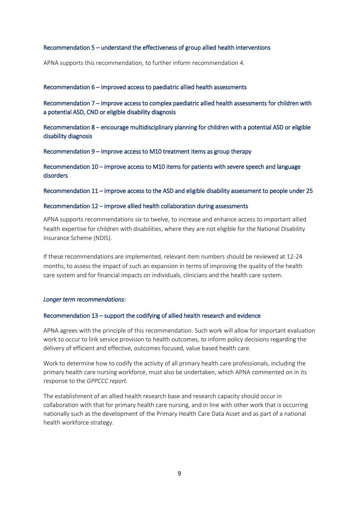#### Recommendation 5 – understand the effectiveness of group allied health interventions

APNA supports this recommendation, to further inform recommendation 4.

#### Recommendation 6 – improved access to paediatric allied health assessments

Recommendation 7 – improve access to complex paediatric allied health assessments for children with a potential ASD, CND or eligible disability diagnosis

Recommendation 8 – encourage multidisciplinary planning for children with a potential ASD or eligible disability diagnosis

Recommendation 9 – improve access to M10 treatment items as group therapy

Recommendation 10 – improve access to M10 items for patients with severe speech and language disorders

Recommendation 11 – improve access to the ASD and eligible disability assessment to people under 25

#### Recommendation 12 – improve allied health collaboration during assessments

APNA supports recommendations six to twelve, to increase and enhance access to important allied health expertise for children with disabilities, where they are not eligible for the National Disability Insurance Scheme (NDIS).

If these recommendations are implemented, relevant item numbers should be reviewed at 12-24 months, to assess the impact of such an expansion in terms of improving the quality of the health care system and for financial impacts on individuals, clinicians and the health care system.

#### *Longer term recommendations:*

#### Recommendation 13 – support the codifying of allied health research and evidence

APNA agrees with the principle of this recommendation. Such work will allow for important evaluation work to occur to link service provision to health outcomes, to inform policy decisions regarding the delivery of efficient and effective, outcomes focused, value based health care.

Work to determine how to codify the activity of all primary health care professionals, including the primary health care nursing workforce, must also be undertaken, which APNA commented on in its response to the *GPPCCC report.*

The establishment of an allied health research base and research capacity should occur in collaboration with that for primary health care nursing, and in line with other work that is occurring nationally such as the development of the Primary Health Care Data Asset and as part of a national health workforce strategy.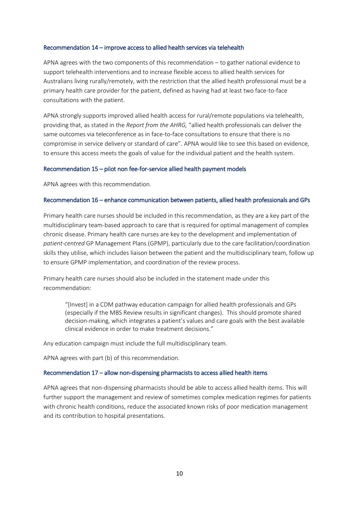#### Recommendation 14 – improve access to allied health services via telehealth

APNA agrees with the two components of this recommendation – to gather national evidence to support telehealth interventions and to increase flexible access to allied health services for Australians living rurally/remotely, with the restriction that the allied health professional must be a primary health care provider for the patient, defined as having had at least two face-to-face consultations with the patient.

APNA strongly supports improved allied health access for rural/remote populations via telehealth, providing that, as stated in the *Report from the AHRG,* "allied health professionals can deliver the same outcomes via teleconference as in face-to-face consultations to ensure that there is no compromise in service delivery or standard of care". APNA would like to see this based on evidence, to ensure this access meets the goals of value for the individual patient and the health system.

#### Recommendation 15 – pilot non fee-for-service allied health payment models

APNA agrees with this recommendation.

#### Recommendation 16 – enhance communication between patients, allied health professionals and GPs

Primary health care nurses should be included in this recommendation, as they are a key part of the multidisciplinary team-based approach to care that is required for optimal management of complex chronic disease. Primary health care nurses are key to the development and implementation of *patient-centred* GP Management Plans (GPMP), particularly due to the care facilitation/coordination skills they utilise, which includes liaison between the patient and the multidisciplinary team, follow up to ensure GPMP implementation, and coordination of the review process.

Primary health care nurses should also be included in the statement made under this recommendation:

"[Invest] in a CDM pathway education campaign for allied health professionals and GPs (especially if the MBS Review results in significant changes). This should promote shared decision-making, which integrates a patient's values and care goals with the best available clinical evidence in order to make treatment decisions."

Any education campaign must include the full multidisciplinary team.

APNA agrees with part (b) of this recommendation.

#### Recommendation 17 – allow non-dispensing pharmacists to access allied health items

APNA agrees that non-dispensing pharmacists should be able to access allied health items. This will further support the management and review of sometimes complex medication regimes for patients with chronic health conditions, reduce the associated known risks of poor medication management and its contribution to hospital presentations.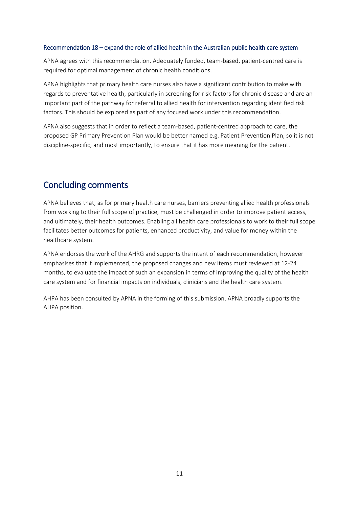#### Recommendation 18 – expand the role of allied health in the Australian public health care system

APNA agrees with this recommendation. Adequately funded, team-based, patient-centred care is required for optimal management of chronic health conditions.

APNA highlights that primary health care nurses also have a significant contribution to make with regards to preventative health, particularly in screening for risk factors for chronic disease and are an important part of the pathway for referral to allied health for intervention regarding identified risk factors. This should be explored as part of any focused work under this recommendation.

APNA also suggests that in order to reflect a team-based, patient-centred approach to care, the proposed GP Primary Prevention Plan would be better named e.g. Patient Prevention Plan, so it is not discipline-specific, and most importantly, to ensure that it has more meaning for the patient.

### <span id="page-10-0"></span>Concluding comments

APNA believes that, as for primary health care nurses, barriers preventing allied health professionals from working to their full scope of practice, must be challenged in order to improve patient access, and ultimately, their health outcomes. Enabling all health care professionals to work to their full scope facilitates better outcomes for patients, enhanced productivity, and value for money within the healthcare system.

APNA endorses the work of the AHRG and supports the intent of each recommendation, however emphasises that if implemented, the proposed changes and new items must reviewed at 12-24 months, to evaluate the impact of such an expansion in terms of improving the quality of the health care system and for financial impacts on individuals, clinicians and the health care system.

AHPA has been consulted by APNA in the forming of this submission. APNA broadly supports the AHPA position.